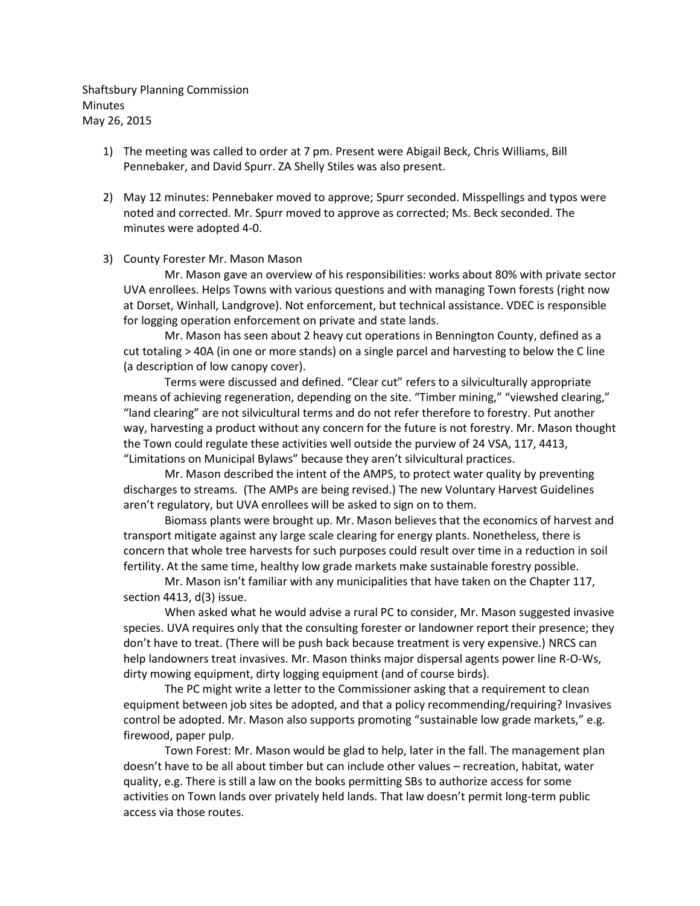Shaftsbury Planning Commission **Minutes** May 26, 2015

- 1) The meeting was called to order at 7 pm. Present were Abigail Beck, Chris Williams, Bill Pennebaker, and David Spurr. ZA Shelly Stiles was also present.
- 2) May 12 minutes: Pennebaker moved to approve; Spurr seconded. Misspellings and typos were noted and corrected. Mr. Spurr moved to approve as corrected; Ms. Beck seconded. The minutes were adopted 4-0.

## 3) County Forester Mr. Mason Mason

Mr. Mason gave an overview of his responsibilities: works about 80% with private sector UVA enrollees. Helps Towns with various questions and with managing Town forests (right now at Dorset, Winhall, Landgrove). Not enforcement, but technical assistance. VDEC is responsible for logging operation enforcement on private and state lands.

Mr. Mason has seen about 2 heavy cut operations in Bennington County, defined as a cut totaling > 40A (in one or more stands) on a single parcel and harvesting to below the C line (a description of low canopy cover).

Terms were discussed and defined. "Clear cut" refers to a silviculturally appropriate means of achieving regeneration, depending on the site. "Timber mining," "viewshed clearing," "land clearing" are not silvicultural terms and do not refer therefore to forestry. Put another way, harvesting a product without any concern for the future is not forestry. Mr. Mason thought the Town could regulate these activities well outside the purview of 24 VSA, 117, 4413, "Limitations on Municipal Bylaws" because they aren't silvicultural practices.

Mr. Mason described the intent of the AMPS, to protect water quality by preventing discharges to streams. (The AMPs are being revised.) The new Voluntary Harvest Guidelines aren't regulatory, but UVA enrollees will be asked to sign on to them.

Biomass plants were brought up. Mr. Mason believes that the economics of harvest and transport mitigate against any large scale clearing for energy plants. Nonetheless, there is concern that whole tree harvests for such purposes could result over time in a reduction in soil fertility. At the same time, healthy low grade markets make sustainable forestry possible.

Mr. Mason isn't familiar with any municipalities that have taken on the Chapter 117, section 4413, d(3) issue.

When asked what he would advise a rural PC to consider, Mr. Mason suggested invasive species. UVA requires only that the consulting forester or landowner report their presence; they don't have to treat. (There will be push back because treatment is very expensive.) NRCS can help landowners treat invasives. Mr. Mason thinks major dispersal agents power line R-O-Ws, dirty mowing equipment, dirty logging equipment (and of course birds).

The PC might write a letter to the Commissioner asking that a requirement to clean equipment between job sites be adopted, and that a policy recommending/requiring? Invasives control be adopted. Mr. Mason also supports promoting "sustainable low grade markets," e.g. firewood, paper pulp.

Town Forest: Mr. Mason would be glad to help, later in the fall. The management plan doesn't have to be all about timber but can include other values – recreation, habitat, water quality, e.g. There is still a law on the books permitting SBs to authorize access for some activities on Town lands over privately held lands. That law doesn't permit long-term public access via those routes.